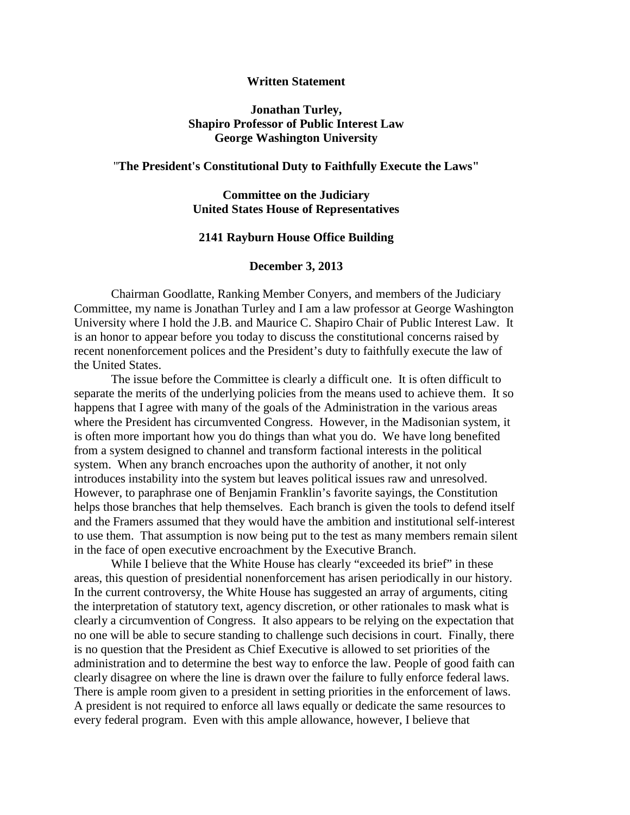### **Written Statement**

### **Jonathan Turley, Shapiro Professor of Public Interest Law George Washington University**

#### "**The President's Constitutional Duty to Faithfully Execute the Laws"**

### **Committee on the Judiciary United States House of Representatives**

### **2141 Rayburn House Office Building**

### **December 3, 2013**

Chairman Goodlatte, Ranking Member Conyers, and members of the Judiciary Committee, my name is Jonathan Turley and I am a law professor at George Washington University where I hold the J.B. and Maurice C. Shapiro Chair of Public Interest Law. It is an honor to appear before you today to discuss the constitutional concerns raised by recent nonenforcement polices and the President's duty to faithfully execute the law of the United States.

The issue before the Committee is clearly a difficult one. It is often difficult to separate the merits of the underlying policies from the means used to achieve them. It so happens that I agree with many of the goals of the Administration in the various areas where the President has circumvented Congress. However, in the Madisonian system, it is often more important how you do things than what you do. We have long benefited from a system designed to channel and transform factional interests in the political system. When any branch encroaches upon the authority of another, it not only introduces instability into the system but leaves political issues raw and unresolved. However, to paraphrase one of Benjamin Franklin's favorite sayings, the Constitution helps those branches that help themselves. Each branch is given the tools to defend itself and the Framers assumed that they would have the ambition and institutional self-interest to use them. That assumption is now being put to the test as many members remain silent in the face of open executive encroachment by the Executive Branch.

While I believe that the White House has clearly "exceeded its brief" in these areas, this question of presidential nonenforcement has arisen periodically in our history. In the current controversy, the White House has suggested an array of arguments, citing the interpretation of statutory text, agency discretion, or other rationales to mask what is clearly a circumvention of Congress. It also appears to be relying on the expectation that no one will be able to secure standing to challenge such decisions in court. Finally, there is no question that the President as Chief Executive is allowed to set priorities of the administration and to determine the best way to enforce the law. People of good faith can clearly disagree on where the line is drawn over the failure to fully enforce federal laws. There is ample room given to a president in setting priorities in the enforcement of laws. A president is not required to enforce all laws equally or dedicate the same resources to every federal program. Even with this ample allowance, however, I believe that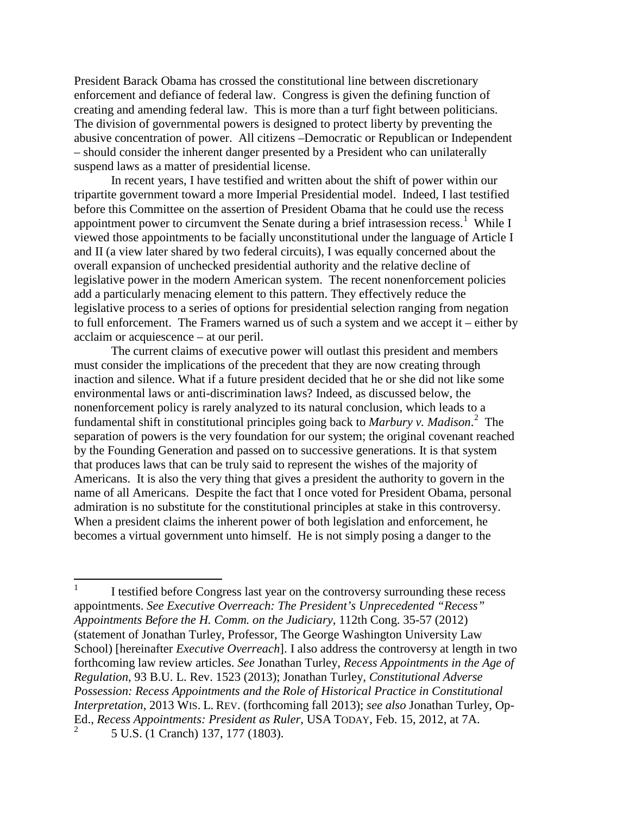President Barack Obama has crossed the constitutional line between discretionary enforcement and defiance of federal law. Congress is given the defining function of creating and amending federal law. This is more than a turf fight between politicians. The division of governmental powers is designed to protect liberty by preventing the abusive concentration of power. All citizens –Democratic or Republican or Independent – should consider the inherent danger presented by a President who can unilaterally suspend laws as a matter of presidential license.

In recent years, I have testified and written about the shift of power within our tripartite government toward a more Imperial Presidential model. Indeed, I last testified before this Committee on the assertion of President Obama that he could use the recess appointment power to circumvent the Senate during a brief intrasession recess.<sup>[1](#page-1-0)</sup> While I viewed those appointments to be facially unconstitutional under the language of Article I and II (a view later shared by two federal circuits), I was equally concerned about the overall expansion of unchecked presidential authority and the relative decline of legislative power in the modern American system. The recent nonenforcement policies add a particularly menacing element to this pattern. They effectively reduce the legislative process to a series of options for presidential selection ranging from negation to full enforcement. The Framers warned us of such a system and we accept it – either by acclaim or acquiescence – at our peril.

The current claims of executive power will outlast this president and members must consider the implications of the precedent that they are now creating through inaction and silence. What if a future president decided that he or she did not like some environmental laws or anti-discrimination laws? Indeed, as discussed below, the nonenforcement policy is rarely analyzed to its natural conclusion, which leads to a fundamental shift in constitutional principles going back to *Marbury v. Madison*. [2](#page-1-1) The separation of powers is the very foundation for our system; the original covenant reached by the Founding Generation and passed on to successive generations. It is that system that produces laws that can be truly said to represent the wishes of the majority of Americans. It is also the very thing that gives a president the authority to govern in the name of all Americans. Despite the fact that I once voted for President Obama, personal admiration is no substitute for the constitutional principles at stake in this controversy. When a president claims the inherent power of both legislation and enforcement, he becomes a virtual government unto himself. He is not simply posing a danger to the

<span id="page-1-1"></span><span id="page-1-0"></span> $1$  I testified before Congress last year on the controversy surrounding these recess appointments. *See Executive Overreach: The President's Unprecedented "Recess" Appointments Before the H. Comm. on the Judiciary*, 112th Cong. 35-57 (2012) (statement of Jonathan Turley, Professor, The George Washington University Law School) [hereinafter *Executive Overreach*]. I also address the controversy at length in two forthcoming law review articles. *See* Jonathan Turley, *Recess Appointments in the Age of Regulation*, 93 B.U. L. Rev. 1523 (2013); Jonathan Turley, *Constitutional Adverse Possession: Recess Appointments and the Role of Historical Practice in Constitutional Interpretation*, 2013 WIS. L. REV. (forthcoming fall 2013); *see also* Jonathan Turley, Op-Ed., *Recess Appointments: President as Ruler*, USA TODAY, Feb. 15, 2012, at 7A. <sup>2</sup> 5 U.S. (1 Cranch) 137, 177 (1803).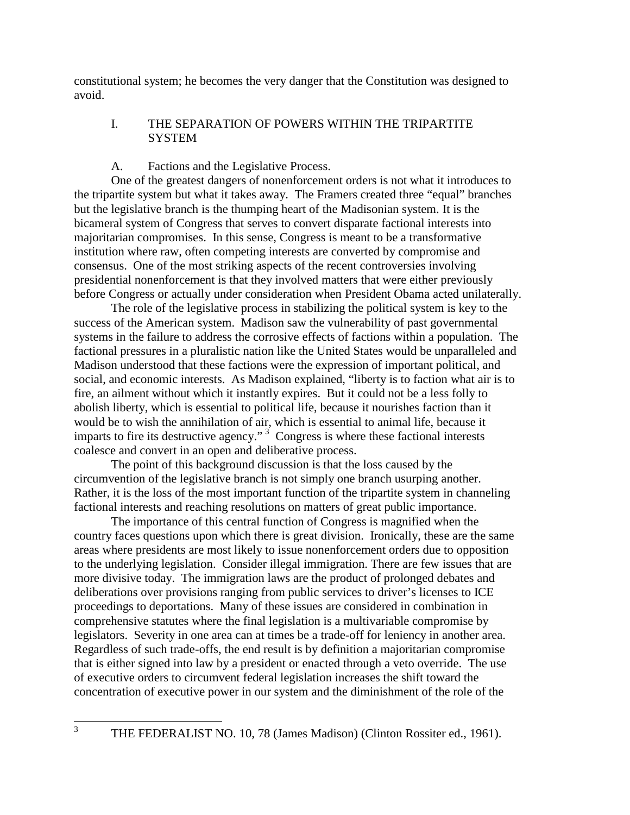constitutional system; he becomes the very danger that the Constitution was designed to avoid.

# I. THE SEPARATION OF POWERS WITHIN THE TRIPARTITE **SYSTEM**

# A. Factions and the Legislative Process.

One of the greatest dangers of nonenforcement orders is not what it introduces to the tripartite system but what it takes away. The Framers created three "equal" branches but the legislative branch is the thumping heart of the Madisonian system. It is the bicameral system of Congress that serves to convert disparate factional interests into majoritarian compromises. In this sense, Congress is meant to be a transformative institution where raw, often competing interests are converted by compromise and consensus. One of the most striking aspects of the recent controversies involving presidential nonenforcement is that they involved matters that were either previously before Congress or actually under consideration when President Obama acted unilaterally.

The role of the legislative process in stabilizing the political system is key to the success of the American system. Madison saw the vulnerability of past governmental systems in the failure to address the corrosive effects of factions within a population. The factional pressures in a pluralistic nation like the United States would be unparalleled and Madison understood that these factions were the expression of important political, and social, and economic interests. As Madison explained, "liberty is to faction what air is to fire, an ailment without which it instantly expires. But it could not be a less folly to abolish liberty, which is essential to political life, because it nourishes faction than it would be to wish the annihilation of air, which is essential to animal life, because it imparts to fire its destructive agency."<sup> $3$ </sup> Congress is where these factional interests coalesce and convert in an open and deliberative process.

The point of this background discussion is that the loss caused by the circumvention of the legislative branch is not simply one branch usurping another. Rather, it is the loss of the most important function of the tripartite system in channeling factional interests and reaching resolutions on matters of great public importance.

The importance of this central function of Congress is magnified when the country faces questions upon which there is great division. Ironically, these are the same areas where presidents are most likely to issue nonenforcement orders due to opposition to the underlying legislation. Consider illegal immigration. There are few issues that are more divisive today. The immigration laws are the product of prolonged debates and deliberations over provisions ranging from public services to driver's licenses to ICE proceedings to deportations. Many of these issues are considered in combination in comprehensive statutes where the final legislation is a multivariable compromise by legislators. Severity in one area can at times be a trade-off for leniency in another area. Regardless of such trade-offs, the end result is by definition a majoritarian compromise that is either signed into law by a president or enacted through a veto override. The use of executive orders to circumvent federal legislation increases the shift toward the concentration of executive power in our system and the diminishment of the role of the

<span id="page-2-0"></span><sup>&</sup>lt;sup>3</sup> THE FEDERALIST NO. 10, 78 (James Madison) (Clinton Rossiter ed., 1961).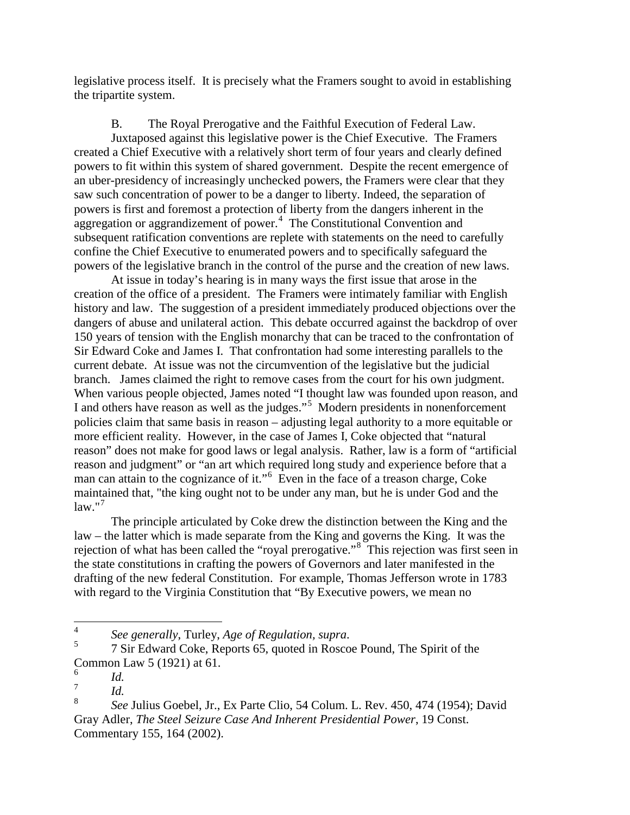legislative process itself. It is precisely what the Framers sought to avoid in establishing the tripartite system.

B. The Royal Prerogative and the Faithful Execution of Federal Law. Juxtaposed against this legislative power is the Chief Executive. The Framers created a Chief Executive with a relatively short term of four years and clearly defined powers to fit within this system of shared government. Despite the recent emergence of an uber-presidency of increasingly unchecked powers, the Framers were clear that they saw such concentration of power to be a danger to liberty. Indeed, the separation of powers is first and foremost a protection of liberty from the dangers inherent in the aggregation or aggrandizement of power. $4$  The Constitutional Convention and subsequent ratification conventions are replete with statements on the need to carefully confine the Chief Executive to enumerated powers and to specifically safeguard the powers of the legislative branch in the control of the purse and the creation of new laws.

At issue in today's hearing is in many ways the first issue that arose in the creation of the office of a president. The Framers were intimately familiar with English history and law. The suggestion of a president immediately produced objections over the dangers of abuse and unilateral action. This debate occurred against the backdrop of over 150 years of tension with the English monarchy that can be traced to the confrontation of Sir Edward Coke and James I. That confrontation had some interesting parallels to the current debate. At issue was not the circumvention of the legislative but the judicial branch. James claimed the right to remove cases from the court for his own judgment. When various people objected, James noted "I thought law was founded upon reason, and I and others have reason as well as the judges."<sup>[5](#page-3-1)</sup> Modern presidents in nonenforcement policies claim that same basis in reason – adjusting legal authority to a more equitable or more efficient reality. However, in the case of James I, Coke objected that "natural reason" does not make for good laws or legal analysis. Rather, law is a form of "artificial reason and judgment" or "an art which required long study and experience before that a man can attain to the cognizance of it."<sup>[6](#page-3-2)</sup> Even in the face of a treason charge, Coke maintained that, "the king ought not to be under any man, but he is under God and the  $law."$ <sup>[7](#page-3-3)</sup>

The principle articulated by Coke drew the distinction between the King and the law – the latter which is made separate from the King and governs the King. It was the rejection of what has been called the "royal prerogative."<sup>[8](#page-3-4)</sup> This rejection was first seen in the state constitutions in crafting the powers of Governors and later manifested in the drafting of the new federal Constitution. For example, Thomas Jefferson wrote in 1783 with regard to the Virginia Constitution that "By Executive powers, we mean no

<span id="page-3-1"></span><span id="page-3-0"></span><sup>&</sup>lt;sup>4</sup> *See generally*, Turley, *Age of Regulation, supra*.<br><sup>5</sup> 7 Sir Edward Coke, Reports 65, quoted in Roscoe Pound, The Spirit of the Common Law 5 (1921) at 61.

<span id="page-3-2"></span> $\frac{6}{7}$  *Id.* 

<span id="page-3-3"></span> $\frac{7}{8}$  *Id.* 

<span id="page-3-4"></span><sup>8</sup> *See* Julius Goebel, Jr., Ex Parte Clio, 54 Colum. L. Rev. 450, 474 (1954); David Gray Adler, *The Steel Seizure Case And Inherent Presidential Power*, 19 Const. Commentary 155, 164 (2002).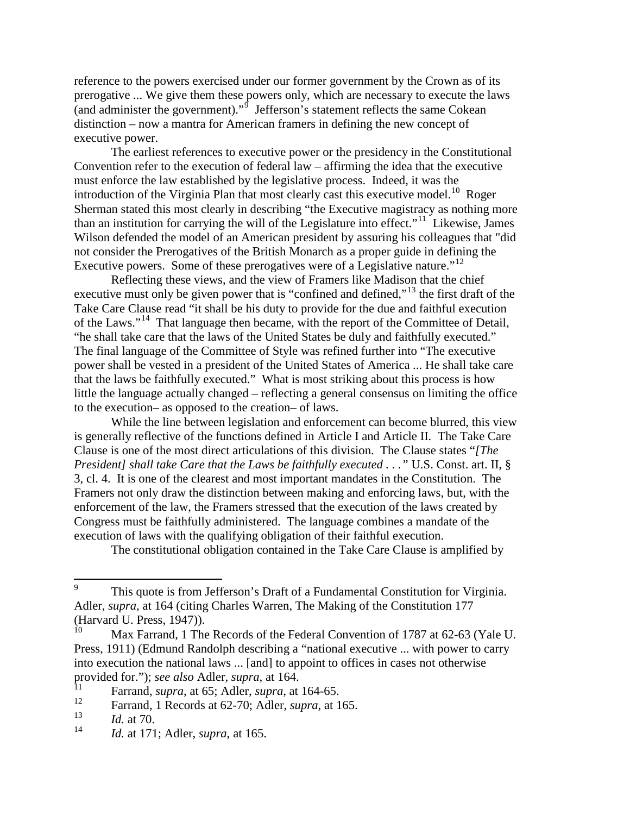reference to the powers exercised under our former government by the Crown as of its prerogative ... We give them these powers only, which are necessary to execute the laws (and administer the government)." $\int$  Jefferson's statement reflects the same Cokean distinction – now a mantra for American framers in defining the new concept of executive power.

The earliest references to executive power or the presidency in the Constitutional Convention refer to the execution of federal law – affirming the idea that the executive must enforce the law established by the legislative process. Indeed, it was the introduction of the Virginia Plan that most clearly cast this executive model.<sup>[10](#page-4-1)</sup> Roger Sherman stated this most clearly in describing "the Executive magistracy as nothing more than an institution for carrying the will of the Legislature into effect." $11$  Likewise, James Wilson defended the model of an American president by assuring his colleagues that "did not consider the Prerogatives of the British Monarch as a proper guide in defining the Executive powers. Some of these prerogatives were of a Legislative nature."<sup>12</sup>

Reflecting these views, and the view of Framers like Madison that the chief executive must only be given power that is "confined and defined,"<sup>[13](#page-4-4)</sup> the first draft of the Take Care Clause read "it shall be his duty to provide for the due and faithful execution of the Laws."<sup>[14](#page-4-5)</sup> That language then became, with the report of the Committee of Detail, "he shall take care that the laws of the United States be duly and faithfully executed." The final language of the Committee of Style was refined further into "The executive power shall be vested in a president of the United States of America ... He shall take care that the laws be faithfully executed." What is most striking about this process is how little the language actually changed – reflecting a general consensus on limiting the office to the execution– as opposed to the creation– of laws.

While the line between legislation and enforcement can become blurred, this view is generally reflective of the functions defined in Article I and Article II. The Take Care Clause is one of the most direct articulations of this division. The Clause states "*[The President] shall take Care that the Laws be faithfully executed . . ." U.S. Const. art. II, §* 3, cl. 4. It is one of the clearest and most important mandates in the Constitution. The Framers not only draw the distinction between making and enforcing laws, but, with the enforcement of the law, the Framers stressed that the execution of the laws created by Congress must be faithfully administered. The language combines a mandate of the execution of laws with the qualifying obligation of their faithful execution.

The constitutional obligation contained in the Take Care Clause is amplified by

<span id="page-4-0"></span><sup>&</sup>lt;sup>9</sup> This quote is from Jefferson's Draft of a Fundamental Constitution for Virginia. Adler, *supra*, at 164 (citing Charles Warren, The Making of the Constitution 177 (Harvard U. Press, 1947)).

<span id="page-4-1"></span>Max Farrand, 1 The Records of the Federal Convention of 1787 at 62-63 (Yale U. Press, 1911) (Edmund Randolph describing a "national executive ... with power to carry into execution the national laws ... [and] to appoint to offices in cases not otherwise provided for."); *see also* Adler, *supra*, at 164.

<span id="page-4-2"></span><sup>&</sup>lt;sup>11</sup> Farrand, *supra*, at 65; Adler, *supra*, at 164-65.

<span id="page-4-3"></span>Farrand, 1 Records at 62-70; Adler, *supra*, at 165.

<span id="page-4-4"></span> $\frac{13}{14}$  *Id.* at 70.

<span id="page-4-5"></span><sup>14</sup> *Id.* at 171; Adler, *supra*, at 165.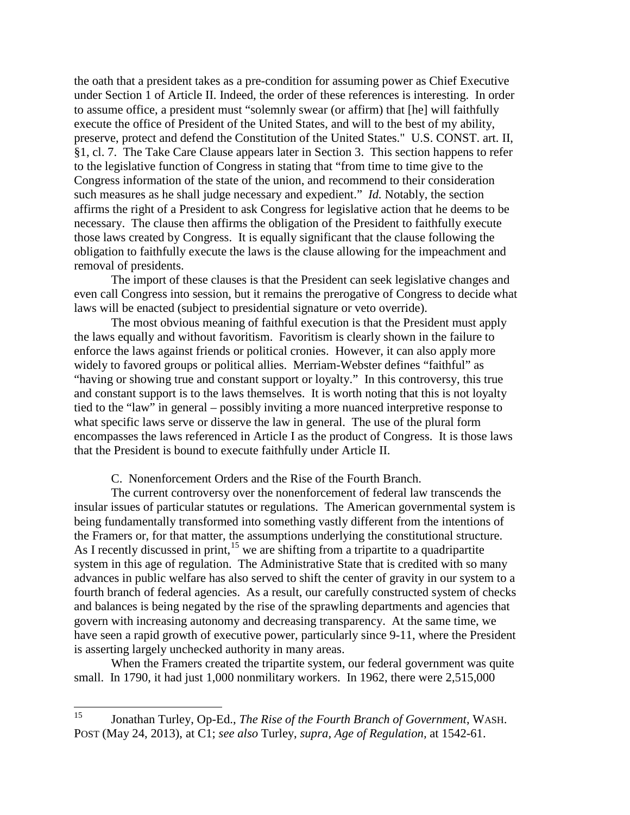the oath that a president takes as a pre-condition for assuming power as Chief Executive under Section 1 of Article II. Indeed, the order of these references is interesting. In order to assume office, a president must "solemnly swear (or affirm) that [he] will faithfully execute the office of President of the United States, and will to the best of my ability, preserve, protect and defend the Constitution of the United States." U.S. CONST. art. II, §1, cl. 7. The Take Care Clause appears later in Section 3. This section happens to refer to the legislative function of Congress in stating that "from time to time give to the Congress information of the state of the union, and recommend to their consideration such measures as he shall judge necessary and expedient." *Id.* Notably, the section affirms the right of a President to ask Congress for legislative action that he deems to be necessary. The clause then affirms the obligation of the President to faithfully execute those laws created by Congress. It is equally significant that the clause following the obligation to faithfully execute the laws is the clause allowing for the impeachment and removal of presidents.

The import of these clauses is that the President can seek legislative changes and even call Congress into session, but it remains the prerogative of Congress to decide what laws will be enacted (subject to presidential signature or veto override).

The most obvious meaning of faithful execution is that the President must apply the laws equally and without favoritism. Favoritism is clearly shown in the failure to enforce the laws against friends or political cronies. However, it can also apply more widely to favored groups or political allies. Merriam-Webster defines "faithful" as "having or showing true and constant support or loyalty." In this controversy, this true and constant support is to the laws themselves. It is worth noting that this is not loyalty tied to the "law" in general – possibly inviting a more nuanced interpretive response to what specific laws serve or disserve the law in general. The use of the plural form encompasses the laws referenced in Article I as the product of Congress. It is those laws that the President is bound to execute faithfully under Article II.

C. Nonenforcement Orders and the Rise of the Fourth Branch.

The current controversy over the nonenforcement of federal law transcends the insular issues of particular statutes or regulations. The American governmental system is being fundamentally transformed into something vastly different from the intentions of the Framers or, for that matter, the assumptions underlying the constitutional structure. As I recently discussed in print,<sup>[15](#page-5-0)</sup> we are shifting from a tripartite to a quadripartite system in this age of regulation. The Administrative State that is credited with so many advances in public welfare has also served to shift the center of gravity in our system to a fourth branch of federal agencies. As a result, our carefully constructed system of checks and balances is being negated by the rise of the sprawling departments and agencies that govern with increasing autonomy and decreasing transparency. At the same time, we have seen a rapid growth of executive power, particularly since 9-11, where the President is asserting largely unchecked authority in many areas.

When the Framers created the tripartite system, our federal government was quite small. In 1790, it had just 1,000 nonmilitary workers. In 1962, there were 2,515,000

<span id="page-5-0"></span><sup>15</sup> Jonathan Turley, Op-Ed., *The Rise of the Fourth Branch of Government*, WASH. POST (May 24, 2013), at C1; *see also* Turley, *supra, Age of Regulation,* at 1542-61.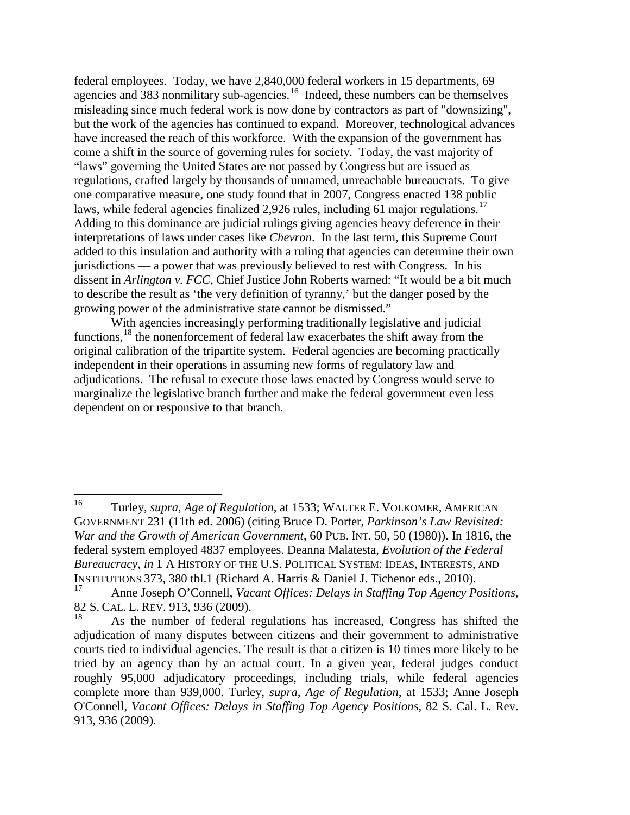federal employees. Today, we have 2,840,000 federal workers in 15 departments, 69 agencies and  $\frac{1}{383}$  nonmilitary sub-agencies.<sup>[16](#page-6-0)</sup> Indeed, these numbers can be themselves misleading since much federal work is now done by contractors as part of "downsizing", but the work of the agencies has continued to expand. Moreover, technological advances have increased the reach of this workforce. With the expansion of the government has come a shift in the source of governing rules for society. Today, the vast majority of "laws" governing the United States are not passed by Congress but are issued as regulations, crafted largely by thousands of unnamed, unreachable bureaucrats. To give one comparative measure, one study found that in 2007, Congress enacted 138 public laws, while federal agencies finalized 2,926 rules, including 61 major regulations.<sup>17</sup> Adding to this dominance are judicial rulings giving agencies heavy deference in their interpretations of laws under cases like *Chevron*. In the last term, this Supreme Court added to this insulation and authority with a ruling that agencies can determine their own jurisdictions — a power that was previously believed to rest with Congress. In his dissent in *Arlington v. FCC*, Chief Justice John Roberts warned: "It would be a bit much to describe the result as 'the very definition of tyranny,' but the danger posed by the growing power of the administrative state cannot be dismissed."

With agencies increasingly performing traditionally legislative and judicial functions,<sup>[18](#page-6-2)</sup> the nonenforcement of federal law exacerbates the shift away from the original calibration of the tripartite system. Federal agencies are becoming practically independent in their operations in assuming new forms of regulatory law and adjudications. The refusal to execute those laws enacted by Congress would serve to marginalize the legislative branch further and make the federal government even less dependent on or responsive to that branch.

<span id="page-6-0"></span><sup>16</sup> Turley, *supra, Age of Regulation*, at 1533; WALTER E. VOLKOMER, AMERICAN GOVERNMENT 231 (11th ed. 2006) (citing Bruce D. Porter, *Parkinson's Law Revisited: War and the Growth of American Government*, 60 PUB. INT. 50, 50 (1980)). In 1816, the federal system employed 4837 employees. Deanna Malatesta, *Evolution of the Federal Bureaucracy*, *in* 1 A HISTORY OF THE U.S. POLITICAL SYSTEM: IDEAS, INTERESTS, AND INSTITUTIONS 373, 380 tbl.1 (Richard A. Harris & Daniel J. Tichenor eds., 2010).

<span id="page-6-1"></span>Anne Joseph O'Connell, *Vacant Offices: Delays in Staffing Top Agency Positions*, 82 S. CAL. L. REV. 913, 936 (2009).

<span id="page-6-2"></span><sup>18</sup> As the number of federal regulations has increased, Congress has shifted the adjudication of many disputes between citizens and their government to administrative courts tied to individual agencies. The result is that a citizen is 10 times more likely to be tried by an agency than by an actual court. In a given year, federal judges conduct roughly 95,000 adjudicatory proceedings, including trials, while federal agencies complete more than 939,000. Turley, *supra*, *Age of Regulation*, at 1533; Anne Joseph O'Connell, *Vacant Offices: Delays in Staffing Top Agency Positions*, [82 S. Cal. L. Rev.](http://www.lexis.com/research/buttonTFLink?_m=26d9b7e03cccfb1066a7e274618cdaed&_xfercite=%3ccite%20cc%3d%22USA%22%3e%3c%21%5bCDATA%5b93%20B.U.L.%20Rev.%201523%5d%5d%3e%3c%2fcite%3e&_butType=3&_butStat=2&_butNum=481&_butInline=1&_butinfo=%3ccite%20cc%3d%22USA%22%3e%3c%21%5bCDATA%5b82%20S.%20Cal.%20L.%20Rev.%20913%2cat%20930%5d%5d%3e%3c%2fcite%3e&_fmtstr=FULL&docnum=1&_startdoc=1&wchp=dGLzVzB-zSkAb&_md5=aad17ac9ef8111eff14dd30a0d9a984e)  [913, 936 \(2009\).](http://www.lexis.com/research/buttonTFLink?_m=26d9b7e03cccfb1066a7e274618cdaed&_xfercite=%3ccite%20cc%3d%22USA%22%3e%3c%21%5bCDATA%5b93%20B.U.L.%20Rev.%201523%5d%5d%3e%3c%2fcite%3e&_butType=3&_butStat=2&_butNum=481&_butInline=1&_butinfo=%3ccite%20cc%3d%22USA%22%3e%3c%21%5bCDATA%5b82%20S.%20Cal.%20L.%20Rev.%20913%2cat%20930%5d%5d%3e%3c%2fcite%3e&_fmtstr=FULL&docnum=1&_startdoc=1&wchp=dGLzVzB-zSkAb&_md5=aad17ac9ef8111eff14dd30a0d9a984e)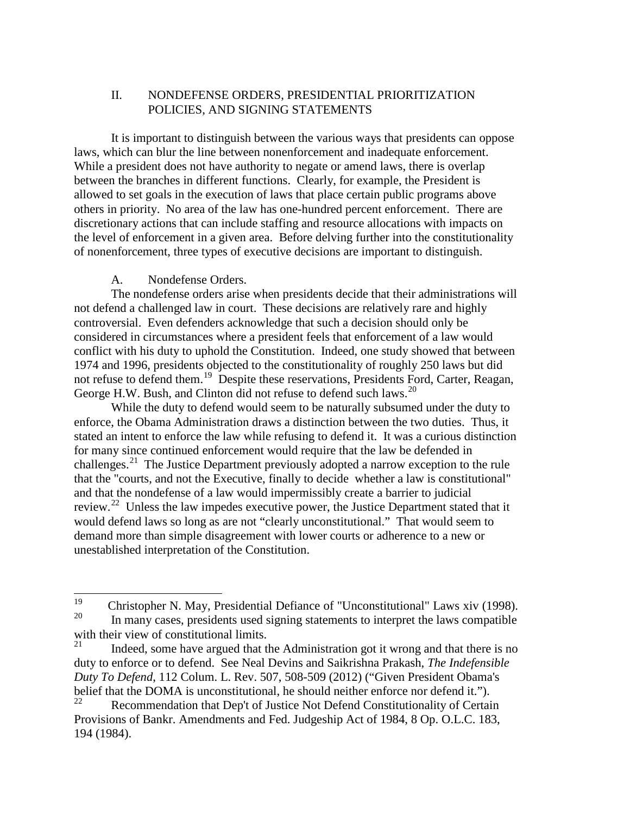# II. NONDEFENSE ORDERS, PRESIDENTIAL PRIORITIZATION POLICIES, AND SIGNING STATEMENTS

It is important to distinguish between the various ways that presidents can oppose laws, which can blur the line between nonenforcement and inadequate enforcement. While a president does not have authority to negate or amend laws, there is overlap between the branches in different functions. Clearly, for example, the President is allowed to set goals in the execution of laws that place certain public programs above others in priority. No area of the law has one-hundred percent enforcement. There are discretionary actions that can include staffing and resource allocations with impacts on the level of enforcement in a given area. Before delving further into the constitutionality of nonenforcement, three types of executive decisions are important to distinguish.

## A. Nondefense Orders.

The nondefense orders arise when presidents decide that their administrations will not defend a challenged law in court. These decisions are relatively rare and highly controversial. Even defenders acknowledge that such a decision should only be considered in circumstances where a president feels that enforcement of a law would conflict with his duty to uphold the Constitution. Indeed, one study showed that between 1974 and 1996, presidents objected to the constitutionality of roughly 250 laws but did not refuse to defend them.<sup>[19](#page-7-0)</sup> Despite these reservations, Presidents Ford, Carter, Reagan, George H.W. Bush, and Clinton did not refuse to defend such laws.<sup>[20](#page-7-1)</sup>

While the duty to defend would seem to be naturally subsumed under the duty to enforce, the Obama Administration draws a distinction between the two duties. Thus, it stated an intent to enforce the law while refusing to defend it. It was a curious distinction for many since continued enforcement would require that the law be defended in challenges.[21](#page-7-2) The Justice Department previously adopted a narrow exception to the rule that the "courts, and not the Executive, finally to decide whether a law is constitutional" and that the nondefense of a law would impermissibly create a barrier to judicial review.<sup>[22](#page-7-3)</sup> Unless the law impedes executive power, the Justice Department stated that it would defend laws so long as are not "clearly unconstitutional." That would seem to demand more than simple disagreement with lower courts or adherence to a new or unestablished interpretation of the Constitution.

<span id="page-7-1"></span><span id="page-7-0"></span><sup>&</sup>lt;sup>19</sup> Christopher N. May, Presidential Defiance of "Unconstitutional" Laws xiv (1998). In many cases, presidents used signing statements to interpret the laws compatible with their view of constitutional limits.<br> $21$  Legislation can be a ground that the state of the state of the state of the state of the state of the state of the state of the state of the state of the state of the state o

<span id="page-7-2"></span>Indeed, some have argued that the Administration got it wrong and that there is no duty to enforce or to defend. See Neal Devins and Saikrishna Prakash, *The Indefensible Duty To Defend*, 112 Colum. L. Rev. 507, 508-509 (2012) ("Given President Obama's belief that the DOMA is unconstitutional, he should neither enforce nor defend it.").

<span id="page-7-3"></span>Recommendation that Dep't of Justice Not Defend Constitutionality of Certain Provisions of Bankr. Amendments and Fed. Judgeship Act of 1984, 8 Op. O.L.C. 183, 194 (1984).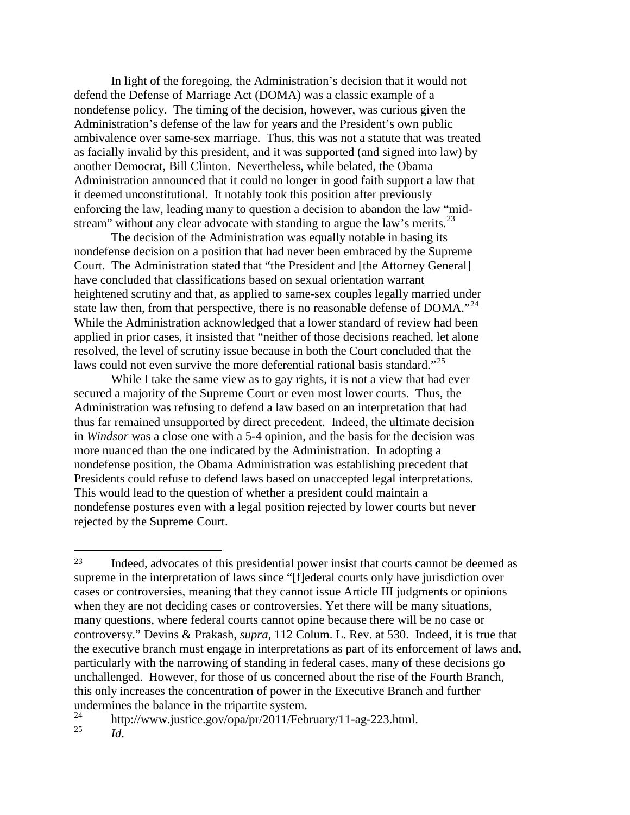In light of the foregoing, the Administration's decision that it would not defend the Defense of Marriage Act (DOMA) was a classic example of a nondefense policy. The timing of the decision, however, was curious given the Administration's defense of the law for years and the President's own public ambivalence over same-sex marriage. Thus, this was not a statute that was treated as facially invalid by this president, and it was supported (and signed into law) by another Democrat, Bill Clinton. Nevertheless, while belated, the Obama Administration announced that it could no longer in good faith support a law that it deemed unconstitutional. It notably took this position after previously enforcing the law, leading many to question a decision to abandon the law "mid-stream" without any clear advocate with standing to argue the law's merits.<sup>[23](#page-8-0)</sup>

The decision of the Administration was equally notable in basing its nondefense decision on a position that had never been embraced by the Supreme Court. The Administration stated that "the President and [the Attorney General] have concluded that classifications based on sexual orientation warrant heightened scrutiny and that, as applied to same-sex couples legally married under state law then, from that perspective, there is no reasonable defense of  $DOMA.^{24}$  $DOMA.^{24}$  $DOMA.^{24}$ . While the Administration acknowledged that a lower standard of review had been applied in prior cases, it insisted that "neither of those decisions reached, let alone resolved, the level of scrutiny issue because in both the Court concluded that the laws could not even survive the more deferential rational basis standard."<sup>[25](#page-8-2)</sup>

While I take the same view as to gay rights, it is not a view that had ever secured a majority of the Supreme Court or even most lower courts. Thus, the Administration was refusing to defend a law based on an interpretation that had thus far remained unsupported by direct precedent. Indeed, the ultimate decision in *Windsor* was a close one with a 5-4 opinion, and the basis for the decision was more nuanced than the one indicated by the Administration. In adopting a nondefense position, the Obama Administration was establishing precedent that Presidents could refuse to defend laws based on unaccepted legal interpretations. This would lead to the question of whether a president could maintain a nondefense postures even with a legal position rejected by lower courts but never rejected by the Supreme Court.

<span id="page-8-0"></span> <sup>23</sup> Indeed, advocates of this presidential power insist that courts cannot be deemed as supreme in the interpretation of laws since "[f]ederal courts only have jurisdiction over cases or controversies, meaning that they cannot issue Article III judgments or opinions when they are not deciding cases or controversies. Yet there will be many situations, many questions, where federal courts cannot opine because there will be no case or controversy." Devins & Prakash, *supra,* 112 Colum. L. Rev. at 530. Indeed, it is true that the executive branch must engage in interpretations as part of its enforcement of laws and, particularly with the narrowing of standing in federal cases, many of these decisions go unchallenged. However, for those of us concerned about the rise of the Fourth Branch, this only increases the concentration of power in the Executive Branch and further undermines the balance in the tripartite system.<br>  $^{24}$  http://www.justice.com/cne/m/2011/Feb

<span id="page-8-2"></span><span id="page-8-1"></span><sup>&</sup>lt;sup>24</sup> http://www.justice.gov/opa/pr/2011/February/11-ag-223.html.  $Id.$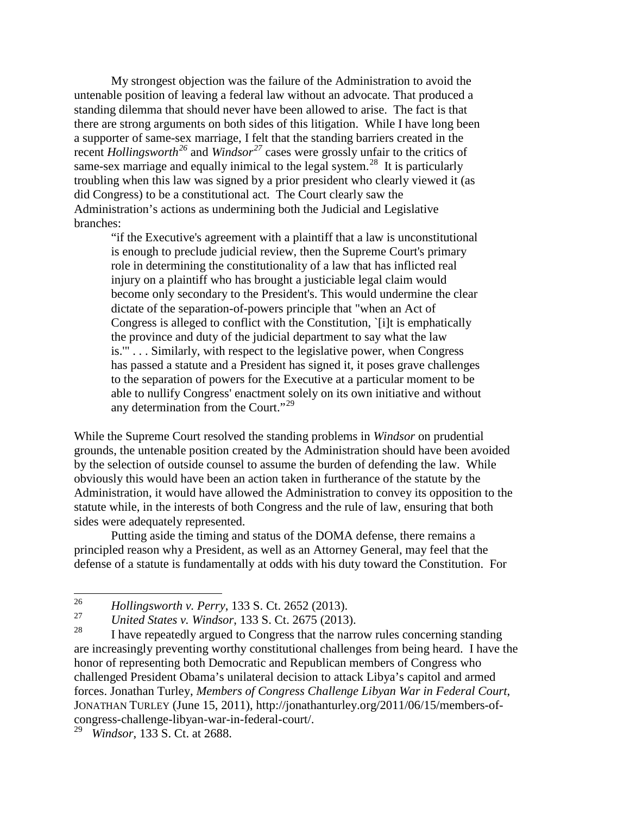My strongest objection was the failure of the Administration to avoid the untenable position of leaving a federal law without an advocate. That produced a standing dilemma that should never have been allowed to arise. The fact is that there are strong arguments on both sides of this litigation. While I have long been a supporter of same-sex marriage, I felt that the standing barriers created in the recent *Hollingsworth*<sup>[26](#page-9-0)</sup> and *Windsor*<sup>[27](#page-9-1)</sup> cases were grossly unfair to the critics of same-sex marriage and equally inimical to the legal system.<sup>28</sup> It is particularly troubling when this law was signed by a prior president who clearly viewed it (as did Congress) to be a constitutional act. The Court clearly saw the Administration's actions as undermining both the Judicial and Legislative branches:

"if the Executive's agreement with a plaintiff that a law is unconstitutional is enough to preclude judicial review, then the Supreme Court's primary role in determining the constitutionality of a law that has inflicted real injury on a plaintiff who has brought a justiciable legal claim would become only secondary to the President's. This would undermine the clear dictate of the separation-of-powers principle that "when an Act of Congress is alleged to conflict with the Constitution, `[i]t is emphatically the province and duty of the judicial department to say what the law is.'" . . . Similarly, with respect to the legislative power, when Congress has passed a statute and a President has signed it, it poses grave challenges to the separation of powers for the Executive at a particular moment to be able to nullify Congress' enactment solely on its own initiative and without any determination from the Court."<sup>[29](#page-9-3)</sup>

While the Supreme Court resolved the standing problems in *Windsor* on prudential grounds, the untenable position created by the Administration should have been avoided by the selection of outside counsel to assume the burden of defending the law. While obviously this would have been an action taken in furtherance of the statute by the Administration, it would have allowed the Administration to convey its opposition to the statute while, in the interests of both Congress and the rule of law, ensuring that both sides were adequately represented.

Putting aside the timing and status of the DOMA defense, there remains a principled reason why a President, as well as an Attorney General, may feel that the defense of a statute is fundamentally at odds with his duty toward the Constitution. For

<span id="page-9-0"></span><sup>26</sup> *Hollingsworth v. Perry*, 133 S. Ct. 2652 (2013).

<span id="page-9-1"></span><sup>&</sup>lt;sup>27</sup> *United States v. Windsor*, 133 S. Ct. 2675 (2013).

<span id="page-9-2"></span>I have repeatedly argued to Congress that the narrow rules concerning standing are increasingly preventing worthy constitutional challenges from being heard. I have the honor of representing both Democratic and Republican members of Congress who challenged President Obama's unilateral decision to attack Libya's capitol and armed forces. Jonathan Turley, *Members of Congress Challenge Libyan War in Federal Court*, JONATHAN TURLEY (June 15, 2011), http://jonathanturley.org/2011/06/15/members-ofcongress-challenge-libyan-war-in-federal-court/.

<span id="page-9-3"></span><sup>29</sup> *Windsor*, 133 S. Ct. at 2688.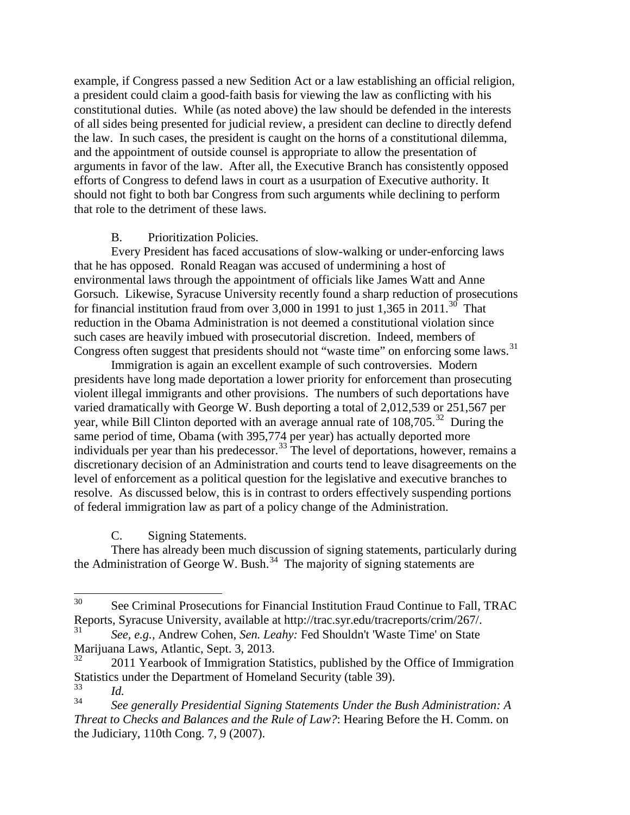example, if Congress passed a new Sedition Act or a law establishing an official religion, a president could claim a good-faith basis for viewing the law as conflicting with his constitutional duties. While (as noted above) the law should be defended in the interests of all sides being presented for judicial review, a president can decline to directly defend the law. In such cases, the president is caught on the horns of a constitutional dilemma, and the appointment of outside counsel is appropriate to allow the presentation of arguments in favor of the law. After all, the Executive Branch has consistently opposed efforts of Congress to defend laws in court as a usurpation of Executive authority. It should not fight to both bar Congress from such arguments while declining to perform that role to the detriment of these laws.

# B. Prioritization Policies.

Every President has faced accusations of slow-walking or under-enforcing laws that he has opposed. Ronald Reagan was accused of undermining a host of environmental laws through the appointment of officials like James Watt and Anne Gorsuch. Likewise, Syracuse University recently found a sharp reduction of prosecutions for financial institution fraud from over 3,000 in 1991 to just 1,365 in 2011.<sup>[30](#page-10-0)</sup> That reduction in the Obama Administration is not deemed a constitutional violation since such cases are heavily imbued with prosecutorial discretion. Indeed, members of Congress often suggest that presidents should not "waste time" on enforcing some laws.<sup>[31](#page-10-1)</sup>

Immigration is again an excellent example of such controversies. Modern presidents have long made deportation a lower priority for enforcement than prosecuting violent illegal immigrants and other provisions. The numbers of such deportations have varied dramatically with George W. Bush deporting a total of 2,012,539 or 251,567 per year, while Bill Clinton deported with an average annual rate of 108,705.<sup>32</sup> During the same period of time, Obama (with 395,774 per year) has actually deported more individuals per year than his predecessor.<sup>[33](#page-10-3)</sup> The level of deportations, however, remains a discretionary decision of an Administration and courts tend to leave disagreements on the level of enforcement as a political question for the legislative and executive branches to resolve. As discussed below, this is in contrast to orders effectively suspending portions of federal immigration law as part of a policy change of the Administration.

C. Signing Statements.

There has already been much discussion of signing statements, particularly during the Administration of George W. Bush. $34$  The majority of signing statements are

<span id="page-10-0"></span><sup>&</sup>lt;sup>30</sup> See Criminal Prosecutions for Financial Institution Fraud Continue to Fall, TRAC Reports, Syracuse University, available at http://trac.syr.edu/tracreports/crim/267/. 31 *See, e.g.,* Andrew Cohen, *Sen. Leahy:* Fed Shouldn't 'Waste Time' on State

<span id="page-10-1"></span>Marijuana Laws, Atlantic, Sept. 3, 2013.

<span id="page-10-2"></span><sup>32</sup> 2011 Yearbook of Immigration Statistics, published by the Office of Immigration Statistics under the Department of Homeland Security (table 39).

<span id="page-10-4"></span><span id="page-10-3"></span> $rac{33}{34}$  *Id.* <sup>34</sup> *See generally Presidential Signing Statements Under the Bush Administration: A Threat to Checks and Balances and the Rule of Law?*: Hearing Before the H. Comm. on the Judiciary, 110th Cong. 7, 9 (2007).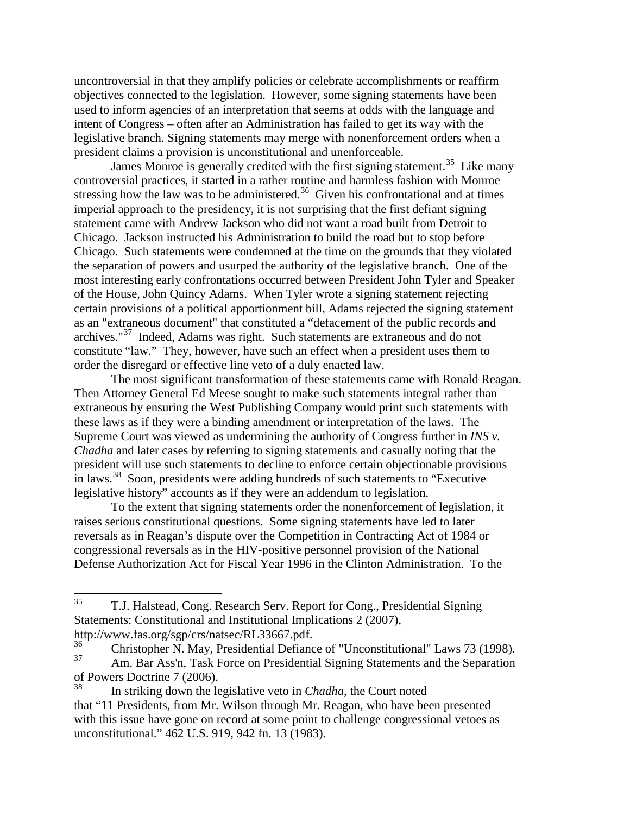uncontroversial in that they amplify policies or celebrate accomplishments or reaffirm objectives connected to the legislation. However, some signing statements have been used to inform agencies of an interpretation that seems at odds with the language and intent of Congress – often after an Administration has failed to get its way with the legislative branch. Signing statements may merge with nonenforcement orders when a president claims a provision is unconstitutional and unenforceable.

James Monroe is generally credited with the first signing statement.<sup>35</sup> Like many controversial practices, it started in a rather routine and harmless fashion with Monroe stressing how the law was to be administered.<sup>36</sup> Given his confrontational and at times imperial approach to the presidency, it is not surprising that the first defiant signing statement came with Andrew Jackson who did not want a road built from Detroit to Chicago. Jackson instructed his Administration to build the road but to stop before Chicago. Such statements were condemned at the time on the grounds that they violated the separation of powers and usurped the authority of the legislative branch. One of the most interesting early confrontations occurred between President John Tyler and Speaker of the House, John Quincy Adams. When Tyler wrote a signing statement rejecting certain provisions of a political apportionment bill, Adams rejected the signing statement as an "extraneous document" that constituted a "defacement of the public records and archives."[37](#page-11-2) Indeed, Adams was right. Such statements are extraneous and do not constitute "law." They, however, have such an effect when a president uses them to order the disregard or effective line veto of a duly enacted law.

The most significant transformation of these statements came with Ronald Reagan. Then Attorney General Ed Meese sought to make such statements integral rather than extraneous by ensuring the West Publishing Company would print such statements with these laws as if they were a binding amendment or interpretation of the laws. The Supreme Court was viewed as undermining the authority of Congress further in *INS v. Chadha* and later cases by referring to signing statements and casually noting that the president will use such statements to decline to enforce certain objectionable provisions in laws.[38](#page-11-3) Soon, presidents were adding hundreds of such statements to "Executive legislative history" accounts as if they were an addendum to legislation.

To the extent that signing statements order the nonenforcement of legislation, it raises serious constitutional questions. Some signing statements have led to later reversals as in Reagan's dispute over the Competition in Contracting Act of 1984 or congressional reversals as in the HIV-positive personnel provision of the National Defense Authorization Act for Fiscal Year 1996 in the Clinton Administration. To the

<span id="page-11-0"></span><sup>35</sup> T.J. Halstead, Cong. Research Serv. Report for Cong., Presidential Signing Statements: Constitutional and Institutional Implications 2 (2007),

[http://www.fas.org/sgp/crs/natsec/RL33667.pdf.](http://www.fas.org/sgp/crs/natsec/RL33667.pdf)<br><sup>36</sup> Christopher N. May, Presidential Defiance of "Unconstitutional" Laws 73 (1998).<br><sup>37</sup> Am Bar Ass<sup>th</sup> Tesk Force on Presidential Signing Statements and the Seperation

<span id="page-11-2"></span><span id="page-11-1"></span>Am. Bar Ass'n, Task Force on Presidential Signing Statements and the Separation of Powers Doctrine 7 (2006).

<span id="page-11-3"></span><sup>38</sup> In striking down the legislative veto in *Chadha*, the Court noted that "11 Presidents, from Mr. Wilson through Mr. Reagan, who have been presented with this issue have gone on record at some point to challenge congressional vetoes as unconstitutional." 462 U.S. 919, 942 fn. 13 (1983).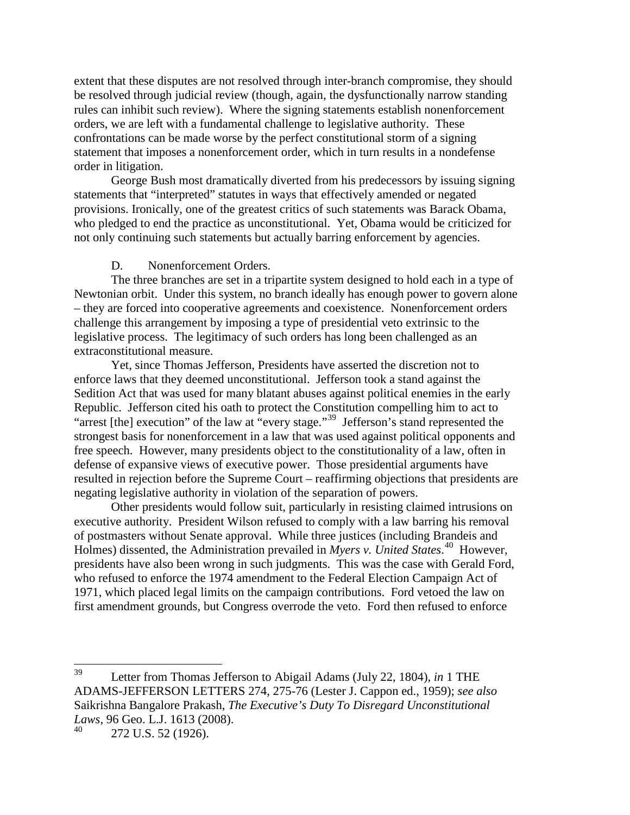extent that these disputes are not resolved through inter-branch compromise, they should be resolved through judicial review (though, again, the dysfunctionally narrow standing rules can inhibit such review). Where the signing statements establish nonenforcement orders, we are left with a fundamental challenge to legislative authority. These confrontations can be made worse by the perfect constitutional storm of a signing statement that imposes a nonenforcement order, which in turn results in a nondefense order in litigation.

George Bush most dramatically diverted from his predecessors by issuing signing statements that "interpreted" statutes in ways that effectively amended or negated provisions. Ironically, one of the greatest critics of such statements was Barack Obama, who pledged to end the practice as unconstitutional. Yet, Obama would be criticized for not only continuing such statements but actually barring enforcement by agencies.

## D. Nonenforcement Orders.

The three branches are set in a tripartite system designed to hold each in a type of Newtonian orbit. Under this system, no branch ideally has enough power to govern alone – they are forced into cooperative agreements and coexistence. Nonenforcement orders challenge this arrangement by imposing a type of presidential veto extrinsic to the legislative process. The legitimacy of such orders has long been challenged as an extraconstitutional measure.

Yet, since Thomas Jefferson, Presidents have asserted the discretion not to enforce laws that they deemed unconstitutional. Jefferson took a stand against the Sedition Act that was used for many blatant abuses against political enemies in the early Republic. Jefferson cited his oath to protect the Constitution compelling him to act to "arrest [the] execution" of the law at "every stage."[39](#page-12-0) Jefferson's stand represented the strongest basis for nonenforcement in a law that was used against political opponents and free speech. However, many presidents object to the constitutionality of a law, often in defense of expansive views of executive power. Those presidential arguments have resulted in rejection before the Supreme Court – reaffirming objections that presidents are negating legislative authority in violation of the separation of powers.

Other presidents would follow suit, particularly in resisting claimed intrusions on executive authority. President Wilson refused to comply with a law barring his removal of postmasters without Senate approval. While three justices (including Brandeis and Holmes) dissented, the Administration prevailed in *Myers v. United States*. [40](#page-12-1) However, presidents have also been wrong in such judgments. This was the case with Gerald Ford, who refused to enforce the 1974 amendment to the Federal Election Campaign Act of 1971, which placed legal limits on the campaign contributions. Ford vetoed the law on first amendment grounds, but Congress overrode the veto. Ford then refused to enforce

<span id="page-12-0"></span><sup>39</sup> Letter from Thomas Jefferson to Abigail Adams (July 22, 1804), *in* 1 THE ADAMS-JEFFERSON LETTERS 274, 275-76 (Lester J. Cappon ed., 1959); *see also* Saikrishna Bangalore Prakash, *The Executive's Duty To Disregard Unconstitutional Laws*, 96 Geo. L.J. 1613 (2008).

<span id="page-12-1"></span><sup>272</sup> U.S. 52 (1926).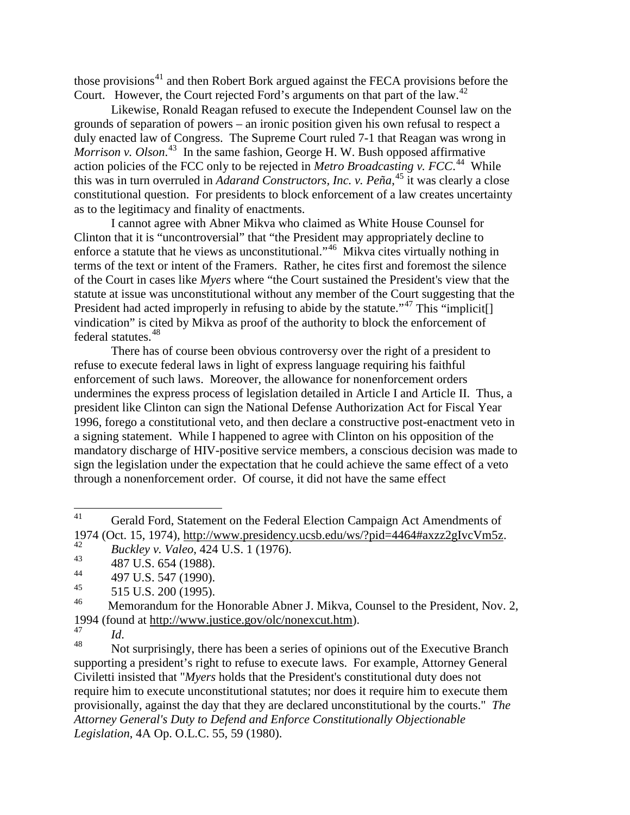those provisions $41$  and then Robert Bork argued against the FECA provisions before the Court. However, the Court rejected Ford's arguments on that part of the law.<sup>[42](#page-13-1)</sup>

Likewise, Ronald Reagan refused to execute the Independent Counsel law on the grounds of separation of powers – an ironic position given his own refusal to respect a duly enacted law of Congress. The Supreme Court ruled 7-1 that Reagan was wrong in Morrison v. Olson.<sup>43</sup> In the same fashion, George H. W. Bush opposed affirmative action policies of the FCC only to be rejected in *Metro Broadcasting v. FCC*. [44](#page-13-3) While this was in turn overruled in *Adarand Constructors, Inc. v. Peña*, [45](#page-13-4) it was clearly a close constitutional question. For presidents to block enforcement of a law creates uncertainty as to the legitimacy and finality of enactments.

I cannot agree with Abner Mikva who claimed as White House Counsel for Clinton that it is "uncontroversial" that "the President may appropriately decline to enforce a statute that he views as unconstitutional."[46](#page-13-5) Mikva cites virtually nothing in terms of the text or intent of the Framers. Rather, he cites first and foremost the silence of the Court in cases like *Myers* where "the Court sustained the President's view that the statute at issue was unconstitutional without any member of the Court suggesting that the President had acted improperly in refusing to abide by the statute."<sup>[47](#page-13-6)</sup> This "implicit<sup>[]</sup> vindication" is cited by Mikva as proof of the authority to block the enforcement of federal statutes.<sup>[48](#page-13-7)</sup>

There has of course been obvious controversy over the right of a president to refuse to execute federal laws in light of express language requiring his faithful enforcement of such laws. Moreover, the allowance for nonenforcement orders undermines the express process of legislation detailed in Article I and Article II. Thus, a president like Clinton can sign the National Defense Authorization Act for Fiscal Year 1996, forego a constitutional veto, and then declare a constructive post-enactment veto in a signing statement. While I happened to agree with Clinton on his opposition of the mandatory discharge of HIV-positive service members, a conscious decision was made to sign the legislation under the expectation that he could achieve the same effect of a veto through a nonenforcement order. Of course, it did not have the same effect

<span id="page-13-0"></span><sup>&</sup>lt;sup>41</sup> Gerald Ford, Statement on the Federal Election Campaign Act Amendments of 1974 (Oct. 15, 1974), [http://www.presidency.ucsb.edu/ws/?pid=4464#axzz2gIvcVm5z.](http://www.presidency.ucsb.edu/ws/?pid=4464#axzz2gIvcVm5z) 42 *Buckley v. Valeo*, 424 U.S. 1 (1976).

<span id="page-13-1"></span>

<span id="page-13-2"></span><sup>&</sup>lt;sup>43</sup> 487 U.S. 654 (1988).

<span id="page-13-3"></span><sup>&</sup>lt;sup>44</sup> 497 U.S. 547 (1990).

<span id="page-13-4"></span> $\frac{45}{46}$  515 U.S. 200 (1995).

<span id="page-13-5"></span>Memorandum for the Honorable Abner J. Mikva, Counsel to the President, Nov. 2, 1994 (found at  $\frac{http://www.justice.gov/olc/nonexcut.htm)}{47}$ .

<span id="page-13-7"></span><span id="page-13-6"></span><sup>&</sup>lt;sup>47</sup> *Id.* Mot surprisingly, there has been a series of opinions out of the Executive Branch supporting a president's right to refuse to execute laws. For example, Attorney General Civiletti insisted that "*Myers* holds that the President's constitutional duty does not require him to execute unconstitutional statutes; nor does it require him to execute them provisionally, against the day that they are declared unconstitutional by the courts." *The Attorney General's Duty to Defend and Enforce Constitutionally Objectionable Legislation*, 4A Op. O.L.C. 55, 59 (1980).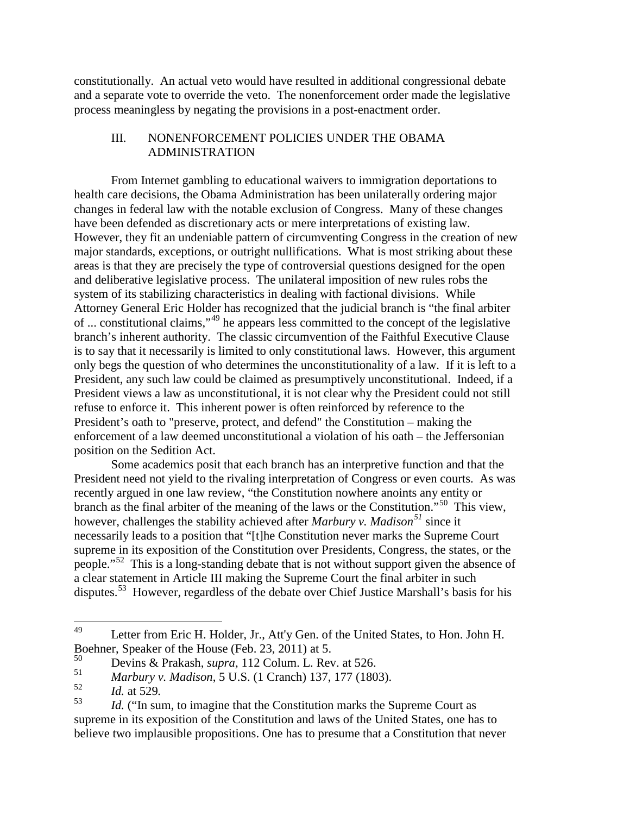constitutionally. An actual veto would have resulted in additional congressional debate and a separate vote to override the veto. The nonenforcement order made the legislative process meaningless by negating the provisions in a post-enactment order.

## III. NONENFORCEMENT POLICIES UNDER THE OBAMA ADMINISTRATION

From Internet gambling to educational waivers to immigration deportations to health care decisions, the Obama Administration has been unilaterally ordering major changes in federal law with the notable exclusion of Congress. Many of these changes have been defended as discretionary acts or mere interpretations of existing law. However, they fit an undeniable pattern of circumventing Congress in the creation of new major standards, exceptions, or outright nullifications. What is most striking about these areas is that they are precisely the type of controversial questions designed for the open and deliberative legislative process. The unilateral imposition of new rules robs the system of its stabilizing characteristics in dealing with factional divisions. While Attorney General Eric Holder has recognized that the judicial branch is "the final arbiter of ... constitutional claims,"[49](#page-14-0) he appears less committed to the concept of the legislative branch's inherent authority. The classic circumvention of the Faithful Executive Clause is to say that it necessarily is limited to only constitutional laws. However, this argument only begs the question of who determines the unconstitutionality of a law. If it is left to a President, any such law could be claimed as presumptively unconstitutional. Indeed, if a President views a law as unconstitutional, it is not clear why the President could not still refuse to enforce it. This inherent power is often reinforced by reference to the President's oath to "preserve, protect, and defend" the Constitution – making the enforcement of a law deemed unconstitutional a violation of his oath – the Jeffersonian position on the Sedition Act.

Some academics posit that each branch has an interpretive function and that the President need not yield to the rivaling interpretation of Congress or even courts. As was recently argued in one law review, "the Constitution nowhere anoints any entity or branch as the final arbiter of the meaning of the laws or the Constitution.<sup>"[50](#page-14-1)</sup> This view, however, challenges the stability achieved after *Marbury v. Madison[51](#page-14-2)* since it necessarily leads to a position that "[t]he Constitution never marks the Supreme Court supreme in its exposition of the Constitution over Presidents, Congress, the states, or the people."<sup>[52](#page-14-3)</sup> This is a long-standing debate that is not without support given the absence of a clear statement in Article III making the Supreme Court the final arbiter in such disputes.[53](#page-14-4) However, regardless of the debate over Chief Justice Marshall's basis for his

<span id="page-14-0"></span><sup>&</sup>lt;sup>49</sup> Letter from Eric H. Holder, Jr., Att'y Gen. of the United States, to Hon. John H. Boehner, Speaker of the House (Feb. 23, 2011) at 5.<br> $50\text{ m}$ 

<span id="page-14-2"></span><span id="page-14-1"></span><sup>50</sup> Devins & Prakash, *supra,* 112 Colum. L. Rev. at 526.

<sup>51</sup> *Marbury v. Madison*[, 5 U.S. \(1 Cranch\) 137, 177 \(1803\).](http://www.lexis.com/research/buttonTFLink?_m=1eac6b1b16737d91f84bf6c48ba5eae5&_xfercite=%3ccite%20cc%3d%22USA%22%3e%3c%21%5bCDATA%5b112%20Colum.%20L.%20Rev.%20507%5d%5d%3e%3c%2fcite%3e&_butType=3&_butStat=2&_butNum=355&_butInline=1&_butinfo=%3ccite%20cc%3d%22USA%22%3e%3c%21%5bCDATA%5b5%20U.S.%20137%2cat%20177%5d%5d%3e%3c%2fcite%3e&_fmtstr=FULL&docnum=1&_startdoc=1&wchp=dGLbVzk-zSkAb&_md5=4a881aa83de28973680a7cbb5a55def3)

<span id="page-14-4"></span><span id="page-14-3"></span><sup>&</sup>lt;sup>52</sup> *Id.* at 529.<br><sup>53</sup> *Id.* ("In sum, to imagine that the Constitution marks the Supreme Court as supreme in its exposition of the Constitution and laws of the United States, one has to believe two implausible propositions. One has to presume that a Constitution that never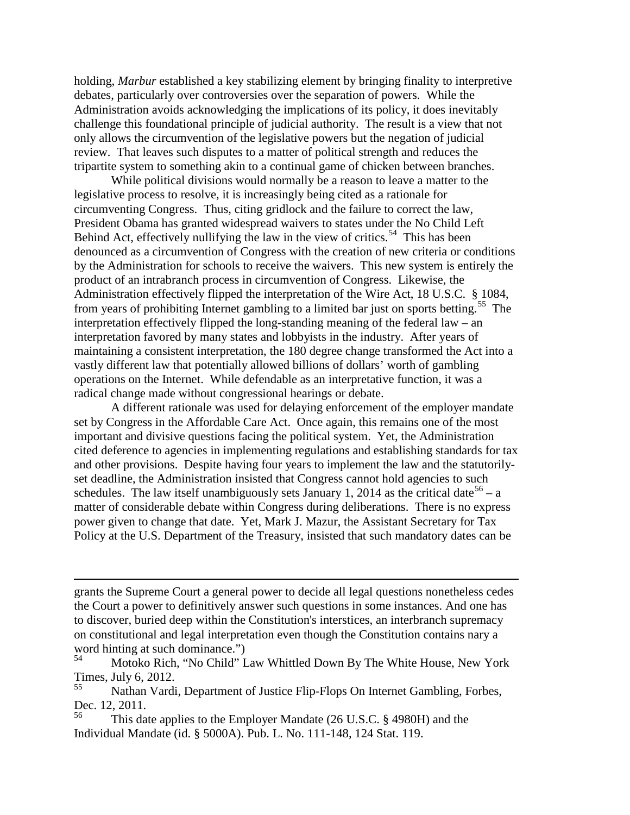holding, *Marbur* established a key stabilizing element by bringing finality to interpretive debates, particularly over controversies over the separation of powers. While the Administration avoids acknowledging the implications of its policy, it does inevitably challenge this foundational principle of judicial authority. The result is a view that not only allows the circumvention of the legislative powers but the negation of judicial review. That leaves such disputes to a matter of political strength and reduces the tripartite system to something akin to a continual game of chicken between branches.

While political divisions would normally be a reason to leave a matter to the legislative process to resolve, it is increasingly being cited as a rationale for circumventing Congress. Thus, citing gridlock and the failure to correct the law, President Obama has granted widespread waivers to states under the No Child Left Behind Act, effectively nullifying the law in the view of critics.<sup>[54](#page-15-0)</sup> This has been denounced as a circumvention of Congress with the creation of new criteria or conditions by the Administration for schools to receive the waivers. This new system is entirely the product of an intrabranch process in circumvention of Congress. Likewise, the Administration effectively flipped the interpretation of the Wire Act, 18 U.S.C. § 1084, from years of prohibiting Internet gambling to a limited bar just on sports betting.<sup>[55](#page-15-1)</sup> The interpretation effectively flipped the long-standing meaning of the federal law – an interpretation favored by many states and lobbyists in the industry. After years of maintaining a consistent interpretation, the 180 degree change transformed the Act into a vastly different law that potentially allowed billions of dollars' worth of gambling operations on the Internet. While defendable as an interpretative function, it was a radical change made without congressional hearings or debate.

A different rationale was used for delaying enforcement of the employer mandate set by Congress in the Affordable Care Act. Once again, this remains one of the most important and divisive questions facing the political system. Yet, the Administration cited deference to agencies in implementing regulations and establishing standards for tax and other provisions. Despite having four years to implement the law and the statutorilyset deadline, the Administration insisted that Congress cannot hold agencies to such schedules. The law itself unambiguously sets January 1, 2014 as the critical date<sup>[56](#page-15-2)</sup> – a matter of considerable debate within Congress during deliberations. There is no express power given to change that date. Yet, Mark J. Mazur, the Assistant Secretary for Tax Policy at the U.S. Department of the Treasury, insisted that such mandatory dates can be

i<br>I grants the Supreme Court a general power to decide all legal questions nonetheless cedes the Court a power to definitively answer such questions in some instances. And one has to discover, buried deep within the Constitution's interstices, an interbranch supremacy on constitutional and legal interpretation even though the Constitution contains nary a word hinting at such dominance.")<br> $^{54}$  Mataka Biab. "No Child" I

<span id="page-15-0"></span><sup>54</sup> Motoko Rich, "No Child" Law Whittled Down By The White House, New York Times, July 6, 2012.

<span id="page-15-1"></span>Nathan Vardi, Department of Justice Flip-Flops On Internet Gambling, Forbes, Dec. 12, 2011.

<span id="page-15-2"></span>This date applies to the Employer Mandate (26 U.S.C. § 4980H) and the Individual Mandate (id. § 5000A). Pub. L. No. 111-148, 124 Stat. 119.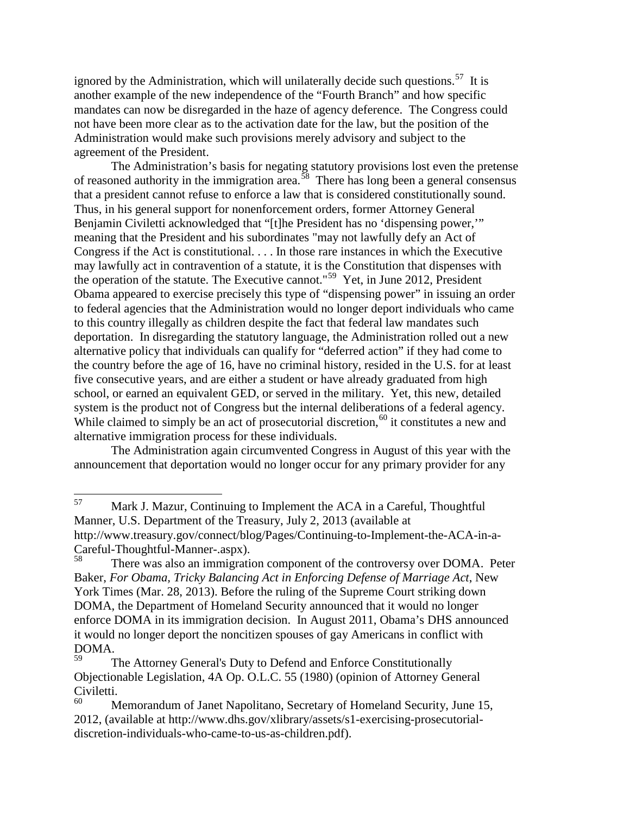ignored by the Administration, which will unilaterally decide such questions.<sup>57</sup> It is another example of the new independence of the "Fourth Branch" and how specific mandates can now be disregarded in the haze of agency deference. The Congress could not have been more clear as to the activation date for the law, but the position of the Administration would make such provisions merely advisory and subject to the agreement of the President.

The Administration's basis for negating statutory provisions lost even the pretense of reasoned authority in the immigration area.<sup>58</sup> There has long been a general consensus that a president cannot refuse to enforce a law that is considered constitutionally sound. Thus, in his general support for nonenforcement orders, former Attorney General Benjamin Civiletti acknowledged that "[t]he President has no 'dispensing power,'" meaning that the President and his subordinates "may not lawfully defy an Act of Congress if the Act is constitutional. . . . In those rare instances in which the Executive may lawfully act in contravention of a statute, it is the Constitution that dispenses with the operation of the statute. The Executive cannot."[59](#page-16-2) Yet, in June 2012, President Obama appeared to exercise precisely this type of "dispensing power" in issuing an order to federal agencies that the Administration would no longer deport individuals who came to this country illegally as children despite the fact that federal law mandates such deportation. In disregarding the statutory language, the Administration rolled out a new alternative policy that individuals can qualify for "deferred action" if they had come to the country before the age of 16, have no criminal history, resided in the U.S. for at least five consecutive years, and are either a student or have already graduated from high school, or earned an equivalent GED, or served in the military. Yet, this new, detailed system is the product not of Congress but the internal deliberations of a federal agency. While claimed to simply be an act of prosecutorial discretion,  $60$  it constitutes a new and alternative immigration process for these individuals.

The Administration again circumvented Congress in August of this year with the announcement that deportation would no longer occur for any primary provider for any

<span id="page-16-0"></span><sup>57</sup> Mark J. Mazur, Continuing to Implement the ACA in a Careful, Thoughtful Manner, U.S. Department of the Treasury, July 2, 2013 (available at http://www.treasury.gov/connect/blog/Pages/Continuing-to-Implement-the-ACA-in-a-Careful-Thoughtful-Manner-.aspx).

<span id="page-16-1"></span>There was also an immigration component of the controversy over DOMA. Peter Baker, *For Obama, Tricky Balancing Act in Enforcing Defense of Marriage Act*, New York Times (Mar. 28, 2013). Before the ruling of the Supreme Court striking down DOMA, the Department of Homeland Security announced that it would no longer enforce DOMA in its immigration decision. In August 2011, Obama's DHS announced it would no longer deport the noncitizen spouses of gay Americans in conflict with  $DOMA.$ 

<span id="page-16-2"></span>The Attorney General's Duty to Defend and Enforce Constitutionally Objectionable Legislation, 4A Op. O.L.C. 55 (1980) (opinion of Attorney General Civiletti.

<span id="page-16-3"></span>Memorandum of Janet Napolitano, Secretary of Homeland Security, June 15, 2012, (available at http://www.dhs.gov/xlibrary/assets/s1-exercising-prosecutorialdiscretion-individuals-who-came-to-us-as-children.pdf).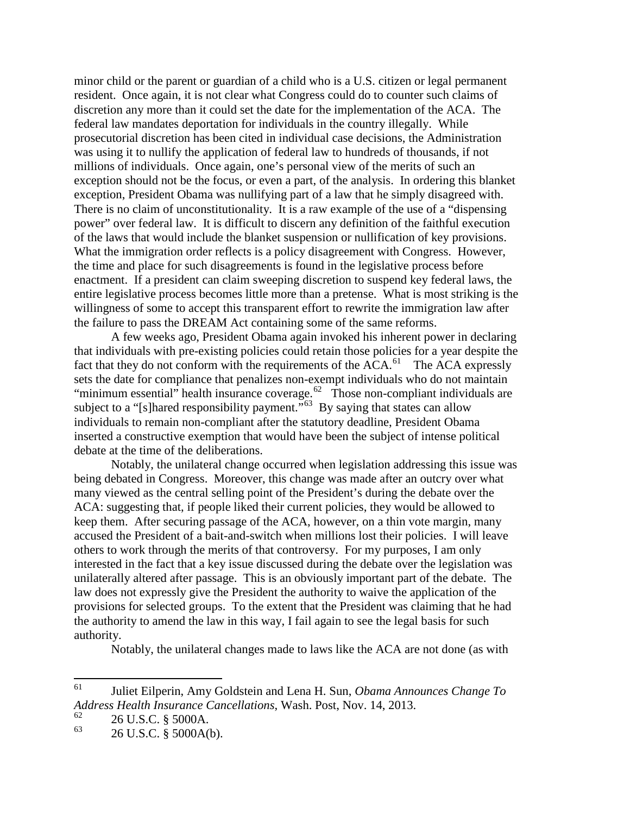minor child or the parent or guardian of a child who is a U.S. citizen or legal permanent resident. Once again, it is not clear what Congress could do to counter such claims of discretion any more than it could set the date for the implementation of the ACA. The federal law mandates deportation for individuals in the country illegally. While prosecutorial discretion has been cited in individual case decisions, the Administration was using it to nullify the application of federal law to hundreds of thousands, if not millions of individuals. Once again, one's personal view of the merits of such an exception should not be the focus, or even a part, of the analysis. In ordering this blanket exception, President Obama was nullifying part of a law that he simply disagreed with. There is no claim of unconstitutionality. It is a raw example of the use of a "dispensing power" over federal law. It is difficult to discern any definition of the faithful execution of the laws that would include the blanket suspension or nullification of key provisions. What the immigration order reflects is a policy disagreement with Congress. However, the time and place for such disagreements is found in the legislative process before enactment. If a president can claim sweeping discretion to suspend key federal laws, the entire legislative process becomes little more than a pretense. What is most striking is the willingness of some to accept this transparent effort to rewrite the immigration law after the failure to pass the DREAM Act containing some of the same reforms.

A few weeks ago, President Obama again invoked his inherent power in declaring that individuals with pre-existing policies could retain those policies for a year despite the fact that they do not conform with the requirements of the  $\widehat{ACA}$ .<sup>[61](#page-17-0)</sup> The ACA expressly sets the date for compliance that penalizes non-exempt individuals who do not maintain "minimum essential" health insurance coverage.<sup>62</sup> Those non-compliant individuals are subject to a "[s]hared responsibility payment."<sup>63</sup> By saying that states can allow individuals to remain non-compliant after the statutory deadline, President Obama inserted a constructive exemption that would have been the subject of intense political debate at the time of the deliberations.

Notably, the unilateral change occurred when legislation addressing this issue was being debated in Congress. Moreover, this change was made after an outcry over what many viewed as the central selling point of the President's during the debate over the ACA: suggesting that, if people liked their current policies, they would be allowed to keep them. After securing passage of the ACA, however, on a thin vote margin, many accused the President of a bait-and-switch when millions lost their policies. I will leave others to work through the merits of that controversy. For my purposes, I am only interested in the fact that a key issue discussed during the debate over the legislation was unilaterally altered after passage. This is an obviously important part of the debate. The law does not expressly give the President the authority to waive the application of the provisions for selected groups. To the extent that the President was claiming that he had the authority to amend the law in this way, I fail again to see the legal basis for such authority.

Notably, the unilateral changes made to laws like the ACA are not done (as with

<span id="page-17-0"></span><sup>61</sup> [Juliet Eilperin,](http://www.washingtonpost.com/juliet-eilperin/2011/03/02/ABZpz6M_page.html) [Amy Goldstein](http://www.washingtonpost.com/amy-goldstein/2011/02/02/ABNs9AJ_page.html) and [Lena H. Sun,](http://www.washingtonpost.com/lena-h-sun/2011/03/03/ABUvPGP_page.html) *Obama Announces Change To Address Health Insurance Cancellations*, Wash. Post, Nov. 14, 2013.

<span id="page-17-1"></span> $^{62}$  26 U.S.C. § 5000A.

<span id="page-17-2"></span><sup>26</sup> U.S.C. § 5000A(b).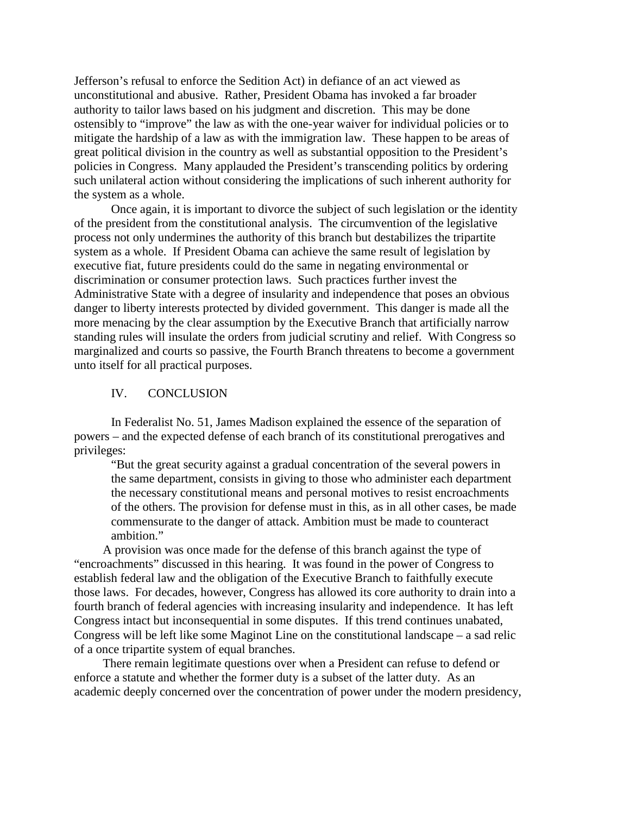Jefferson's refusal to enforce the Sedition Act) in defiance of an act viewed as unconstitutional and abusive. Rather, President Obama has invoked a far broader authority to tailor laws based on his judgment and discretion. This may be done ostensibly to "improve" the law as with the one-year waiver for individual policies or to mitigate the hardship of a law as with the immigration law. These happen to be areas of great political division in the country as well as substantial opposition to the President's policies in Congress. Many applauded the President's transcending politics by ordering such unilateral action without considering the implications of such inherent authority for the system as a whole.

Once again, it is important to divorce the subject of such legislation or the identity of the president from the constitutional analysis. The circumvention of the legislative process not only undermines the authority of this branch but destabilizes the tripartite system as a whole. If President Obama can achieve the same result of legislation by executive fiat, future presidents could do the same in negating environmental or discrimination or consumer protection laws. Such practices further invest the Administrative State with a degree of insularity and independence that poses an obvious danger to liberty interests protected by divided government. This danger is made all the more menacing by the clear assumption by the Executive Branch that artificially narrow standing rules will insulate the orders from judicial scrutiny and relief. With Congress so marginalized and courts so passive, the Fourth Branch threatens to become a government unto itself for all practical purposes.

### IV. CONCLUSION

In Federalist No. 51, James Madison explained the essence of the separation of powers – and the expected defense of each branch of its constitutional prerogatives and privileges:

"But the great security against a gradual concentration of the several powers in the same department, consists in giving to those who administer each department the necessary constitutional means and personal motives to resist encroachments of the others. The provision for defense must in this, as in all other cases, be made commensurate to the danger of attack. Ambition must be made to counteract ambition."

A provision was once made for the defense of this branch against the type of "encroachments" discussed in this hearing. It was found in the power of Congress to establish federal law and the obligation of the Executive Branch to faithfully execute those laws. For decades, however, Congress has allowed its core authority to drain into a fourth branch of federal agencies with increasing insularity and independence. It has left Congress intact but inconsequential in some disputes. If this trend continues unabated, Congress will be left like some Maginot Line on the constitutional landscape – a sad relic of a once tripartite system of equal branches.

There remain legitimate questions over when a President can refuse to defend or enforce a statute and whether the former duty is a subset of the latter duty. As an academic deeply concerned over the concentration of power under the modern presidency,